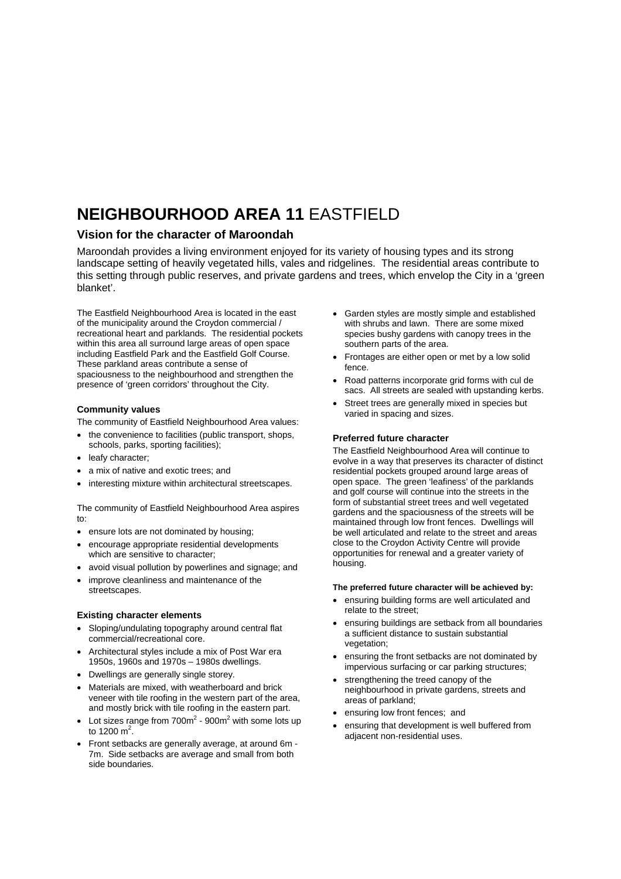# **NEIGHBOURHOOD AREA 11** EASTFIELD

### **Vision for the character of Maroondah**

Maroondah provides a living environment enjoyed for its variety of housing types and its strong landscape setting of heavily vegetated hills, vales and ridgelines. The residential areas contribute to this setting through public reserves, and private gardens and trees, which envelop the City in a 'green blanket'.

The Eastfield Neighbourhood Area is located in the east of the municipality around the Croydon commercial / recreational heart and parklands. The residential pockets within this area all surround large areas of open space including Eastfield Park and the Eastfield Golf Course. These parkland areas contribute a sense of spaciousness to the neighbourhood and strengthen the presence of 'green corridors' throughout the City.

#### **Community values**

The community of Eastfield Neighbourhood Area values:

- the convenience to facilities (public transport, shops, schools, parks, sporting facilities);
- leafy character;
- a mix of native and exotic trees; and
- interesting mixture within architectural streetscapes.

The community of Eastfield Neighbourhood Area aspires to:

- ensure lots are not dominated by housing;
- encourage appropriate residential developments which are sensitive to character;
- avoid visual pollution by powerlines and signage; and
- improve cleanliness and maintenance of the streetscapes.

#### **Existing character elements**

- Sloping/undulating topography around central flat commercial/recreational core.
- Architectural styles include a mix of Post War era 1950s, 1960s and 1970s – 1980s dwellings.
- Dwellings are generally single storey.
- Materials are mixed, with weatherboard and brick veneer with tile roofing in the western part of the area, and mostly brick with tile roofing in the eastern part.
- Lot sizes range from  $700m^2$   $900m^2$  with some lots up to 1200 m<sup>2</sup>.
- Front setbacks are generally average, at around 6m 7m. Side setbacks are average and small from both side boundaries.
- Garden styles are mostly simple and established with shrubs and lawn. There are some mixed species bushy gardens with canopy trees in the southern parts of the area.
- Frontages are either open or met by a low solid fence.
- Road patterns incorporate grid forms with cul de sacs. All streets are sealed with upstanding kerbs.
- Street trees are generally mixed in species but varied in spacing and sizes.

#### **Preferred future character**

The Eastfield Neighbourhood Area will continue to evolve in a way that preserves its character of distinct residential pockets grouped around large areas of open space. The green 'leafiness' of the parklands and golf course will continue into the streets in the form of substantial street trees and well vegetated gardens and the spaciousness of the streets will be maintained through low front fences. Dwellings will be well articulated and relate to the street and areas close to the Croydon Activity Centre will provide opportunities for renewal and a greater variety of housing.

#### **The preferred future character will be achieved by:**

- ensuring building forms are well articulated and relate to the street;
- ensuring buildings are setback from all boundaries a sufficient distance to sustain substantial vegetation;
- ensuring the front setbacks are not dominated by impervious surfacing or car parking structures;
- strengthening the treed canopy of the neighbourhood in private gardens, streets and areas of parkland;
- ensuring low front fences; and
- ensuring that development is well buffered from adiacent non-residential uses.